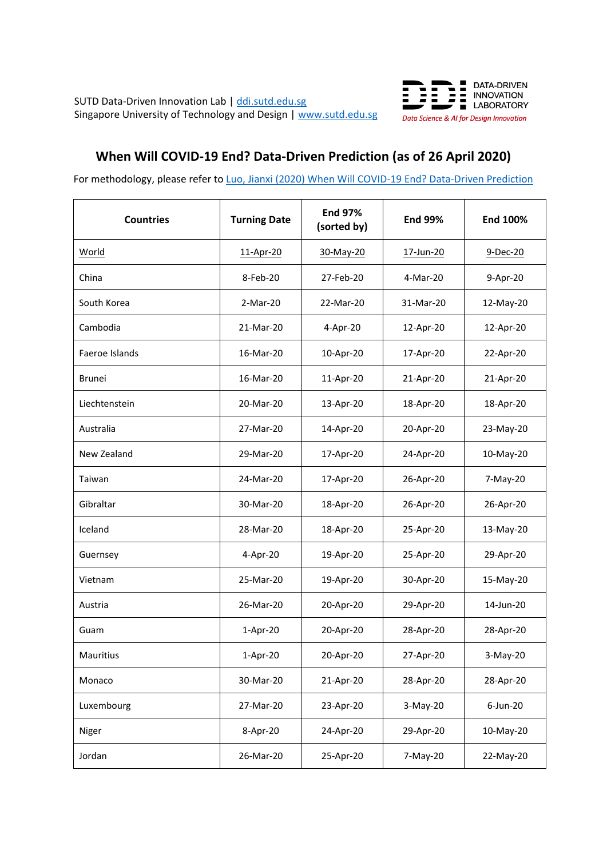

## **When Will COVID-19 End? Data-Driven Prediction (as of 26 April 2020)**

For methodology, please refer to Luo, Jianxi [\(2020\) When Will COVID-19 End? Data-Driven Prediction](https://people.sutd.edu.sg/jianxi_luo/public_html/COVID19PredictionPaper20200426.pdf)

| <b>Countries</b> | <b>Turning Date</b> | <b>End 97%</b><br>(sorted by) | <b>End 99%</b> | End 100%    |
|------------------|---------------------|-------------------------------|----------------|-------------|
| World            | 11-Apr-20           | 30-May-20                     | 17-Jun-20      | 9-Dec-20    |
| China            | 8-Feb-20            | 27-Feb-20                     | 4-Mar-20       | 9-Apr-20    |
| South Korea      | 2-Mar-20            | 22-Mar-20                     | 31-Mar-20      | 12-May-20   |
| Cambodia         | 21-Mar-20           | 4-Apr-20                      | 12-Apr-20      | 12-Apr-20   |
| Faeroe Islands   | 16-Mar-20           | 10-Apr-20                     | 17-Apr-20      | 22-Apr-20   |
| <b>Brunei</b>    | 16-Mar-20           | 11-Apr-20                     | 21-Apr-20      | 21-Apr-20   |
| Liechtenstein    | 20-Mar-20           | 13-Apr-20                     | 18-Apr-20      | 18-Apr-20   |
| Australia        | 27-Mar-20           | 14-Apr-20                     | 20-Apr-20      | 23-May-20   |
| New Zealand      | 29-Mar-20           | 17-Apr-20                     | 24-Apr-20      | 10-May-20   |
| Taiwan           | 24-Mar-20           | 17-Apr-20                     | 26-Apr-20      | 7-May-20    |
| Gibraltar        | 30-Mar-20           | 18-Apr-20                     | 26-Apr-20      | 26-Apr-20   |
| Iceland          | 28-Mar-20           | 18-Apr-20                     | 25-Apr-20      | 13-May-20   |
| Guernsey         | 4-Apr-20            | 19-Apr-20                     | 25-Apr-20      | 29-Apr-20   |
| Vietnam          | 25-Mar-20           | 19-Apr-20                     | 30-Apr-20      | 15-May-20   |
| Austria          | 26-Mar-20           | 20-Apr-20                     | 29-Apr-20      | 14-Jun-20   |
| Guam             | $1-Apr-20$          | 20-Apr-20                     | 28-Apr-20      | 28-Apr-20   |
| Mauritius        | 1-Apr-20            | 20-Apr-20                     | 27-Apr-20      | 3-May-20    |
| Monaco           | 30-Mar-20           | 21-Apr-20                     | 28-Apr-20      | 28-Apr-20   |
| Luxembourg       | 27-Mar-20           | 23-Apr-20                     | $3-May-20$     | $6$ -Jun-20 |
| Niger            | 8-Apr-20            | 24-Apr-20                     | 29-Apr-20      | 10-May-20   |
| Jordan           | 26-Mar-20           | 25-Apr-20                     | 7-May-20       | 22-May-20   |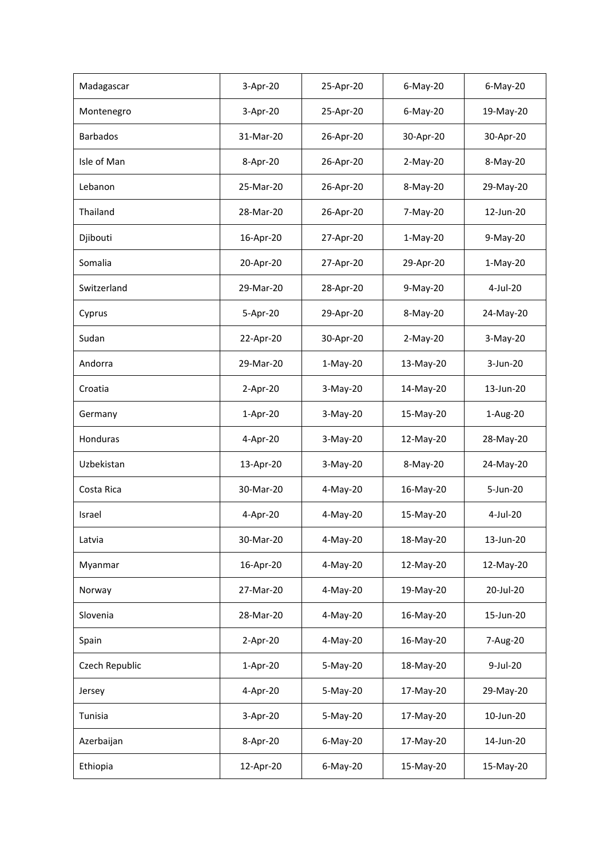| Madagascar      | 3-Apr-20   | 25-Apr-20   | 6-May-20   | $6$ -May-20 |
|-----------------|------------|-------------|------------|-------------|
| Montenegro      | 3-Apr-20   | 25-Apr-20   | 6-May-20   | 19-May-20   |
| <b>Barbados</b> | 31-Mar-20  | 26-Apr-20   | 30-Apr-20  | 30-Apr-20   |
| Isle of Man     | 8-Apr-20   | 26-Apr-20   | $2-May-20$ | 8-May-20    |
| Lebanon         | 25-Mar-20  | 26-Apr-20   | 8-May-20   | 29-May-20   |
| Thailand        | 28-Mar-20  | 26-Apr-20   | 7-May-20   | 12-Jun-20   |
| Djibouti        | 16-Apr-20  | 27-Apr-20   | $1-May-20$ | 9-May-20    |
| Somalia         | 20-Apr-20  | 27-Apr-20   | 29-Apr-20  | $1-May-20$  |
| Switzerland     | 29-Mar-20  | 28-Apr-20   | 9-May-20   | $4$ -Jul-20 |
| Cyprus          | 5-Apr-20   | 29-Apr-20   | 8-May-20   | 24-May-20   |
| Sudan           | 22-Apr-20  | 30-Apr-20   | $2-May-20$ | 3-May-20    |
| Andorra         | 29-Mar-20  | $1-May-20$  | 13-May-20  | 3-Jun-20    |
| Croatia         | 2-Apr-20   | 3-May-20    | 14-May-20  | 13-Jun-20   |
| Germany         | 1-Apr-20   | 3-May-20    | 15-May-20  | 1-Aug-20    |
| Honduras        | 4-Apr-20   | 3-May-20    | 12-May-20  | 28-May-20   |
| Uzbekistan      | 13-Apr-20  | 3-May-20    | 8-May-20   | 24-May-20   |
| Costa Rica      | 30-Mar-20  | 4-May-20    | 16-May-20  | 5-Jun-20    |
| Israel          | 4-Apr-20   | 4-May-20    | 15-May-20  | 4-Jul-20    |
| Latvia          | 30-Mar-20  | 4-May-20    | 18-May-20  | 13-Jun-20   |
| Myanmar         | 16-Apr-20  | 4-May-20    | 12-May-20  | 12-May-20   |
| Norway          | 27-Mar-20  | 4-May-20    | 19-May-20  | 20-Jul-20   |
| Slovenia        | 28-Mar-20  | 4-May-20    | 16-May-20  | 15-Jun-20   |
| Spain           | $2-Apr-20$ | 4-May-20    | 16-May-20  | 7-Aug-20    |
| Czech Republic  | 1-Apr-20   | 5-May-20    | 18-May-20  | 9-Jul-20    |
| Jersey          | 4-Apr-20   | 5-May-20    | 17-May-20  | 29-May-20   |
| Tunisia         | 3-Apr-20   | 5-May-20    | 17-May-20  | 10-Jun-20   |
| Azerbaijan      | 8-Apr-20   | $6$ -May-20 | 17-May-20  | 14-Jun-20   |
| Ethiopia        | 12-Apr-20  | $6$ -May-20 | 15-May-20  | 15-May-20   |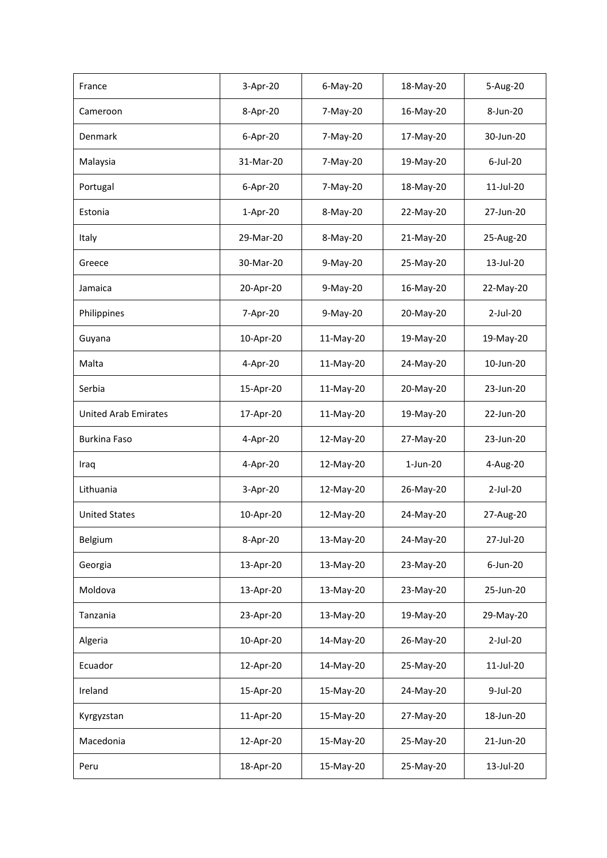| France                      | 3-Apr-20  | 6-May-20  | 18-May-20   | 5-Aug-20     |
|-----------------------------|-----------|-----------|-------------|--------------|
| Cameroon                    | 8-Apr-20  | 7-May-20  | 16-May-20   | 8-Jun-20     |
| Denmark                     | 6-Apr-20  | 7-May-20  | 17-May-20   | 30-Jun-20    |
| Malaysia                    | 31-Mar-20 | 7-May-20  | 19-May-20   | $6$ -Jul-20  |
| Portugal                    | 6-Apr-20  | 7-May-20  | 18-May-20   | $11$ -Jul-20 |
| Estonia                     | 1-Apr-20  | 8-May-20  | 22-May-20   | 27-Jun-20    |
| Italy                       | 29-Mar-20 | 8-May-20  | 21-May-20   | 25-Aug-20    |
| Greece                      | 30-Mar-20 | 9-May-20  | 25-May-20   | 13-Jul-20    |
| Jamaica                     | 20-Apr-20 | 9-May-20  | 16-May-20   | 22-May-20    |
| Philippines                 | 7-Apr-20  | 9-May-20  | 20-May-20   | $2$ -Jul-20  |
| Guyana                      | 10-Apr-20 | 11-May-20 | 19-May-20   | 19-May-20    |
| Malta                       | 4-Apr-20  | 11-May-20 | 24-May-20   | 10-Jun-20    |
| Serbia                      | 15-Apr-20 | 11-May-20 | 20-May-20   | 23-Jun-20    |
| <b>United Arab Emirates</b> | 17-Apr-20 | 11-May-20 | 19-May-20   | 22-Jun-20    |
| Burkina Faso                | 4-Apr-20  | 12-May-20 | 27-May-20   | 23-Jun-20    |
| Iraq                        | 4-Apr-20  | 12-May-20 | $1$ -Jun-20 | 4-Aug-20     |
| Lithuania                   | 3-Apr-20  | 12-May-20 | 26-May-20   | $2$ -Jul-20  |
| <b>United States</b>        | 10-Apr-20 | 12-May-20 | 24-May-20   | 27-Aug-20    |
| Belgium                     | 8-Apr-20  | 13-May-20 | 24-May-20   | 27-Jul-20    |
| Georgia                     | 13-Apr-20 | 13-May-20 | 23-May-20   | 6-Jun-20     |
| Moldova                     | 13-Apr-20 | 13-May-20 | 23-May-20   | 25-Jun-20    |
| Tanzania                    | 23-Apr-20 | 13-May-20 | 19-May-20   | 29-May-20    |
| Algeria                     | 10-Apr-20 | 14-May-20 | 26-May-20   | 2-Jul-20     |
| Ecuador                     | 12-Apr-20 | 14-May-20 | 25-May-20   | 11-Jul-20    |
| Ireland                     | 15-Apr-20 | 15-May-20 | 24-May-20   | 9-Jul-20     |
| Kyrgyzstan                  |           |           | 27-May-20   | 18-Jun-20    |
|                             | 11-Apr-20 | 15-May-20 |             |              |
| Macedonia                   | 12-Apr-20 | 15-May-20 | 25-May-20   | 21-Jun-20    |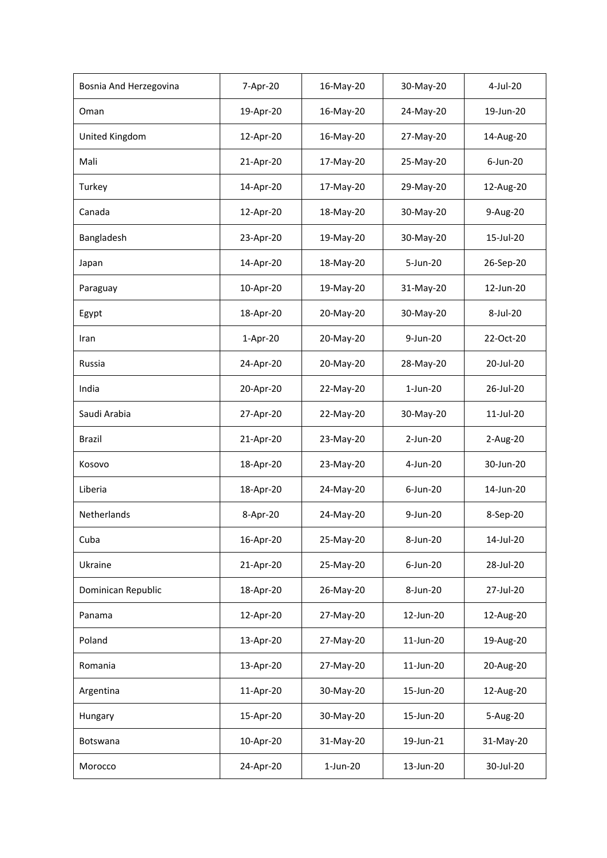| Bosnia And Herzegovina | 7-Apr-20  | 16-May-20   | 30-May-20    | 4-Jul-20  |
|------------------------|-----------|-------------|--------------|-----------|
| Oman                   | 19-Apr-20 | 16-May-20   | 24-May-20    | 19-Jun-20 |
| United Kingdom         | 12-Apr-20 | 16-May-20   | 27-May-20    | 14-Aug-20 |
| Mali                   | 21-Apr-20 | 17-May-20   | 25-May-20    | 6-Jun-20  |
| Turkey                 | 14-Apr-20 | 17-May-20   | 29-May-20    | 12-Aug-20 |
| Canada                 | 12-Apr-20 | 18-May-20   | 30-May-20    | 9-Aug-20  |
| Bangladesh             | 23-Apr-20 | 19-May-20   | 30-May-20    | 15-Jul-20 |
| Japan                  | 14-Apr-20 | 18-May-20   | $5 - Jun-20$ | 26-Sep-20 |
| Paraguay               | 10-Apr-20 | 19-May-20   | 31-May-20    | 12-Jun-20 |
| Egypt                  | 18-Apr-20 | 20-May-20   | 30-May-20    | 8-Jul-20  |
| Iran                   | 1-Apr-20  | 20-May-20   | 9-Jun-20     | 22-Oct-20 |
| Russia                 | 24-Apr-20 | 20-May-20   | 28-May-20    | 20-Jul-20 |
| India                  | 20-Apr-20 | 22-May-20   | $1-Jun-20$   | 26-Jul-20 |
| Saudi Arabia           | 27-Apr-20 | 22-May-20   | 30-May-20    | 11-Jul-20 |
| Brazil                 | 21-Apr-20 | 23-May-20   | 2-Jun-20     | 2-Aug-20  |
| Kosovo                 | 18-Apr-20 | 23-May-20   | 4-Jun-20     | 30-Jun-20 |
| Liberia                | 18-Apr-20 | 24-May-20   | $6$ -Jun-20  | 14-Jun-20 |
| Netherlands            | 8-Apr-20  | 24-May-20   | 9-Jun-20     | 8-Sep-20  |
| Cuba                   | 16-Apr-20 | 25-May-20   | 8-Jun-20     | 14-Jul-20 |
| Ukraine                | 21-Apr-20 | 25-May-20   | 6-Jun-20     | 28-Jul-20 |
| Dominican Republic     | 18-Apr-20 | 26-May-20   | 8-Jun-20     | 27-Jul-20 |
| Panama                 | 12-Apr-20 | 27-May-20   | 12-Jun-20    | 12-Aug-20 |
| Poland                 | 13-Apr-20 | 27-May-20   | 11-Jun-20    | 19-Aug-20 |
| Romania                | 13-Apr-20 | 27-May-20   | 11-Jun-20    | 20-Aug-20 |
| Argentina              | 11-Apr-20 | 30-May-20   | 15-Jun-20    | 12-Aug-20 |
| Hungary                | 15-Apr-20 | 30-May-20   | 15-Jun-20    | 5-Aug-20  |
| Botswana               | 10-Apr-20 | 31-May-20   | 19-Jun-21    | 31-May-20 |
| Morocco                | 24-Apr-20 | $1$ -Jun-20 | 13-Jun-20    | 30-Jul-20 |